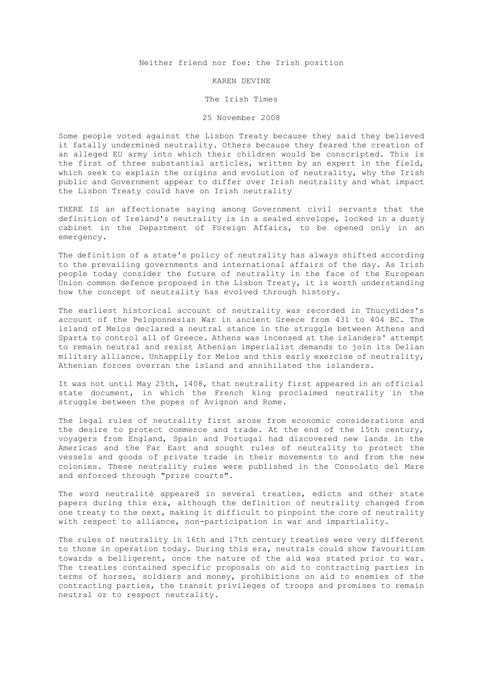Neither friend nor foe: the Irish position

## KAREN DEVINE

## The Irish Times

## 25 November 2008

Some people voted against the Lisbon Treaty because they said they believed it fatally undermined neutrality. Others because they feared the creation of an alleged EU army into which their children would be conscripted. This is the first of three substantial articles, written by an expert in the field, which seek to explain the origins and evolution of neutrality, why the Irish public and Government appear to differ over Irish neutrality and what impact the Lisbon Treaty could have on Irish neutrality

THERE IS an affectionate saying among Government civil servants that the definition of Ireland's neutrality is in a sealed envelope, locked in a dusty cabinet in the Department of Foreign Affairs, to be opened only in an emergency.

The definition of a state's policy of neutrality has always shifted according to the prevailing governments and international affairs of the day. As Irish people today consider the future of neutrality in the face of the European Union common defence proposed in the Lisbon Treaty, it is worth understanding how the concept of neutrality has evolved through history.

The earliest historical account of neutrality was recorded in Thucydides's account of the Peloponnesian War in ancient Greece from 431 to 404 BC. The island of Melos declared a neutral stance in the struggle between Athens and Sparta to control all of Greece. Athens was incensed at the islanders' attempt to remain neutral and resist Athenian imperialist demands to join its Delian military alliance. Unhappily for Melos and this early exercise of neutrality, Athenian forces overran the island and annihilated the islanders.

It was not until May 25th, 1408, that neutrality first appeared in an official state document, in which the French king proclaimed neutrality in the struggle between the popes of Avignon and Rome.

The legal rules of neutrality first arose from economic considerations and the desire to protect commerce and trade. At the end of the 15th century, voyagers from England, Spain and Portugal had discovered new lands in the Americas and the Far East and sought rules of neutrality to protect the vessels and goods of private trade in their movements to and from the new colonies. These neutrality rules were published in the Consolato del Mare and enforced through "prize courts".

The word neutralité appeared in several treaties, edicts and other state papers during this era, although the definition of neutrality changed from one treaty to the next, making it difficult to pinpoint the core of neutrality with respect to alliance, non-participation in war and impartiality.

The rules of neutrality in 16th and 17th century treaties were very different to those in operation today. During this era, neutrals could show favouritism towards a belligerent, once the nature of the aid was stated prior to war. The treaties contained specific proposals on aid to contracting parties in terms of horses, soldiers and money, prohibitions on aid to enemies of the contracting parties, the transit privileges of troops and promises to remain neutral or to respect neutrality.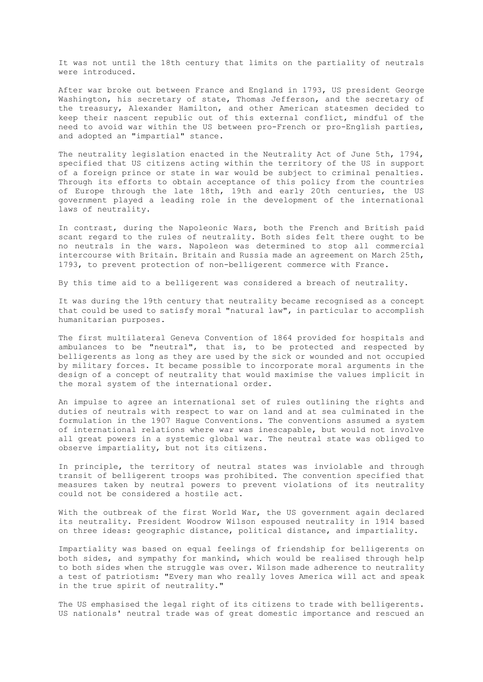It was not until the 18th century that limits on the partiality of neutrals were introduced.

After war broke out between France and England in 1793, US president George Washington, his secretary of state, Thomas Jefferson, and the secretary of the treasury, Alexander Hamilton, and other American statesmen decided to keep their nascent republic out of this external conflict, mindful of the need to avoid war within the US between pro-French or pro-English parties, and adopted an "impartial" stance.

The neutrality legislation enacted in the Neutrality Act of June 5th, 1794, specified that US citizens acting within the territory of the US in support of a foreign prince or state in war would be subject to criminal penalties. Through its efforts to obtain acceptance of this policy from the countries of Europe through the late 18th, 19th and early 20th centuries, the US government played a leading role in the development of the international laws of neutrality.

In contrast, during the Napoleonic Wars, both the French and British paid scant regard to the rules of neutrality. Both sides felt there ought to be no neutrals in the wars. Napoleon was determined to stop all commercial intercourse with Britain. Britain and Russia made an agreement on March 25th, 1793, to prevent protection of non-belligerent commerce with France.

By this time aid to a belligerent was considered a breach of neutrality.

It was during the 19th century that neutrality became recognised as a concept that could be used to satisfy moral "natural law", in particular to accomplish humanitarian purposes.

The first multilateral Geneva Convention of 1864 provided for hospitals and ambulances to be "neutral", that is, to be protected and respected by belligerents as long as they are used by the sick or wounded and not occupied by military forces. It became possible to incorporate moral arguments in the design of a concept of neutrality that would maximise the values implicit in the moral system of the international order.

An impulse to agree an international set of rules outlining the rights and duties of neutrals with respect to war on land and at sea culminated in the formulation in the 1907 Hague Conventions. The conventions assumed a system of international relations where war was inescapable, but would not involve all great powers in a systemic global war. The neutral state was obliged to observe impartiality, but not its citizens.

In principle, the territory of neutral states was inviolable and through transit of belligerent troops was prohibited. The convention specified that measures taken by neutral powers to prevent violations of its neutrality could not be considered a hostile act.

With the outbreak of the first World War, the US government again declared its neutrality. President Woodrow Wilson espoused neutrality in 1914 based on three ideas: geographic distance, political distance, and impartiality.

Impartiality was based on equal feelings of friendship for belligerents on both sides, and sympathy for mankind, which would be realised through help to both sides when the struggle was over. Wilson made adherence to neutrality a test of patriotism: "Every man who really loves America will act and speak in the true spirit of neutrality."

The US emphasised the legal right of its citizens to trade with belligerents. US nationals' neutral trade was of great domestic importance and rescued an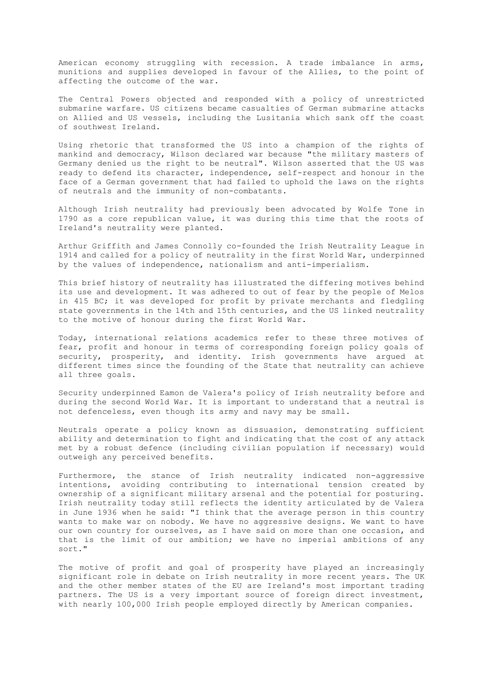American economy struggling with recession. A trade imbalance in arms, munitions and supplies developed in favour of the Allies, to the point of affecting the outcome of the war.

The Central Powers objected and responded with a policy of unrestricted submarine warfare. US citizens became casualties of German submarine attacks on Allied and US vessels, including the Lusitania which sank off the coast of southwest Ireland.

Using rhetoric that transformed the US into a champion of the rights of mankind and democracy, Wilson declared war because "the military masters of Germany denied us the right to be neutral". Wilson asserted that the US was ready to defend its character, independence, self-respect and honour in the face of a German government that had failed to uphold the laws on the rights of neutrals and the immunity of non-combatants.

Although Irish neutrality had previously been advocated by Wolfe Tone in 1790 as a core republican value, it was during this time that the roots of Ireland's neutrality were planted.

Arthur Griffith and James Connolly co-founded the Irish Neutrality League in 1914 and called for a policy of neutrality in the first World War, underpinned by the values of independence, nationalism and anti-imperialism.

This brief history of neutrality has illustrated the differing motives behind its use and development. It was adhered to out of fear by the people of Melos in 415 BC; it was developed for profit by private merchants and fledgling state governments in the 14th and 15th centuries, and the US linked neutrality to the motive of honour during the first World War.

Today, international relations academics refer to these three motives of fear, profit and honour in terms of corresponding foreign policy goals of security, prosperity, and identity. Irish governments have argued at different times since the founding of the State that neutrality can achieve all three goals.

Security underpinned Eamon de Valera's policy of Irish neutrality before and during the second World War. It is important to understand that a neutral is not defenceless, even though its army and navy may be small.

Neutrals operate a policy known as dissuasion, demonstrating sufficient ability and determination to fight and indicating that the cost of any attack met by a robust defence (including civilian population if necessary) would outweigh any perceived benefits.

Furthermore, the stance of Irish neutrality indicated non-aggressive intentions, avoiding contributing to international tension created by ownership of a significant military arsenal and the potential for posturing. Irish neutrality today still reflects the identity articulated by de Valera in June 1936 when he said: "I think that the average person in this country wants to make war on nobody. We have no aggressive designs. We want to have our own country for ourselves, as I have said on more than one occasion, and that is the limit of our ambition; we have no imperial ambitions of any sort."

The motive of profit and goal of prosperity have played an increasingly significant role in debate on Irish neutrality in more recent years. The UK and the other member states of the EU are Ireland's most important trading partners. The US is a very important source of foreign direct investment, with nearly 100,000 Irish people employed directly by American companies.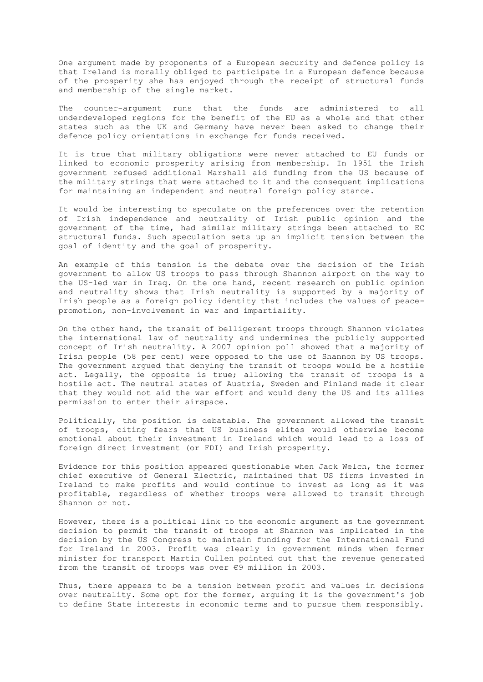One argument made by proponents of a European security and defence policy is that Ireland is morally obliged to participate in a European defence because of the prosperity she has enjoyed through the receipt of structural funds and membership of the single market.

The counter-argument runs that the funds are administered to all underdeveloped regions for the benefit of the EU as a whole and that other states such as the UK and Germany have never been asked to change their defence policy orientations in exchange for funds received.

It is true that military obligations were never attached to EU funds or linked to economic prosperity arising from membership. In 1951 the Irish government refused additional Marshall aid funding from the US because of the military strings that were attached to it and the consequent implications for maintaining an independent and neutral foreign policy stance.

It would be interesting to speculate on the preferences over the retention of Irish independence and neutrality of Irish public opinion and the government of the time, had similar military strings been attached to EC structural funds. Such speculation sets up an implicit tension between the goal of identity and the goal of prosperity.

An example of this tension is the debate over the decision of the Irish government to allow US troops to pass through Shannon airport on the way to the US-led war in Iraq. On the one hand, recent research on public opinion and neutrality shows that Irish neutrality is supported by a majority of Irish people as a foreign policy identity that includes the values of peacepromotion, non-involvement in war and impartiality.

On the other hand, the transit of belligerent troops through Shannon violates the international law of neutrality and undermines the publicly supported concept of Irish neutrality. A 2007 opinion poll showed that a majority of Irish people (58 per cent) were opposed to the use of Shannon by US troops. The government argued that denying the transit of troops would be a hostile act. Legally, the opposite is true; allowing the transit of troops is a hostile act. The neutral states of Austria, Sweden and Finland made it clear that they would not aid the war effort and would deny the US and its allies permission to enter their airspace.

Politically, the position is debatable. The government allowed the transit of troops, citing fears that US business elites would otherwise become emotional about their investment in Ireland which would lead to a loss of foreign direct investment (or FDI) and Irish prosperity.

Evidence for this position appeared questionable when Jack Welch, the former chief executive of General Electric, maintained that US firms invested in Ireland to make profits and would continue to invest as long as it was profitable, regardless of whether troops were allowed to transit through Shannon or not.

However, there is a political link to the economic argument as the government decision to permit the transit of troops at Shannon was implicated in the decision by the US Congress to maintain funding for the International Fund for Ireland in 2003. Profit was clearly in government minds when former minister for transport Martin Cullen pointed out that the revenue generated from the transit of troops was over €9 million in 2003.

Thus, there appears to be a tension between profit and values in decisions over neutrality. Some opt for the former, arguing it is the government's job to define State interests in economic terms and to pursue them responsibly.